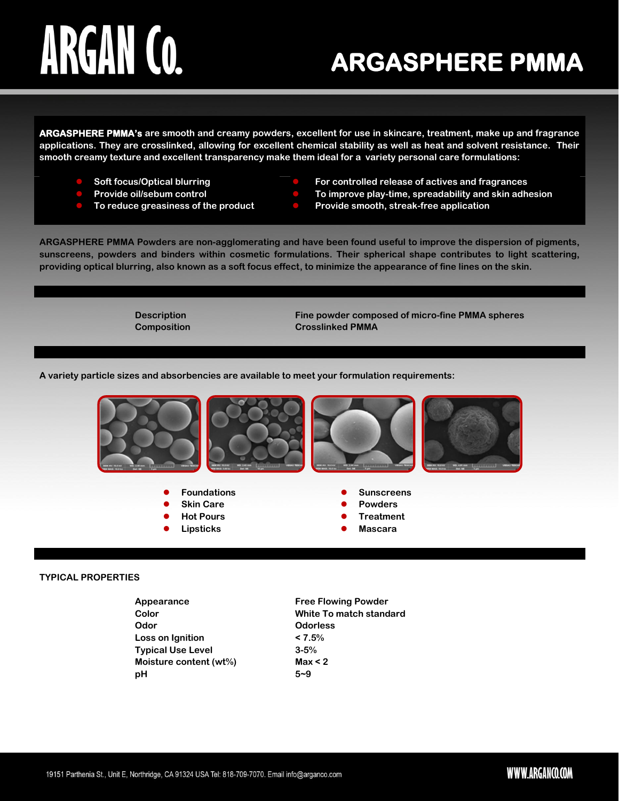## ARGAN CO.

### **ARGASPHERE PMMA**

**ARGASPHERE PMMA's are smooth and creamy powders, excellent for use in skincare, treatment, make up and fragrance applications. They are crosslinked, allowing for excellent chemical stability as well as heat and solvent resistance. Their smooth creamy texture and excellent transparency make them ideal for a variety personal care formulations:**

- **Soft focus/Optical blurring**
- **Provide oil/sebum control**
- **To reduce greasiness of the product**
- **For controlled release of actives and fragrances**
- **To improve play-time, spreadability and skin adhesion**
- **Provide smooth, streak-free application**

**ARGASPHERE PMMA Powders are non-agglomerating and have been found useful to improve the dispersion of pigments, sunscreens, powders and binders within cosmetic formulations. Their spherical shape contributes to light scattering, providing optical blurring, also known as a soft focus effect, to minimize the appearance of fine lines on the skin.**

**Description Fine powder composed of micro-fine PMMA spheres Composition Crosslinked PMMA**

**A variety particle sizes and absorbencies are available to meet your formulation requirements:**



- 
- 
- 
- 
- **Skin Care Powders**
- **Hot Pours Treatment**
- **Lipsticks Construction Construction Construction Construction Construction Construction Construction Construction Construction Construction Construction Construction Construction Construction Construction Construction C**

#### **TYPICAL PROPERTIES**

| Appearance               | <b>Free Flowing Powder</b>     |
|--------------------------|--------------------------------|
| Color                    | <b>White To match standard</b> |
| Odor                     | <b>Odorless</b>                |
| Loss on Ignition         | $< 7.5\%$                      |
| <b>Typical Use Level</b> | $3 - 5%$                       |
| Moisture content (wt%)   | Max < 2                        |
| рH                       | $5 - 9$                        |
|                          |                                |